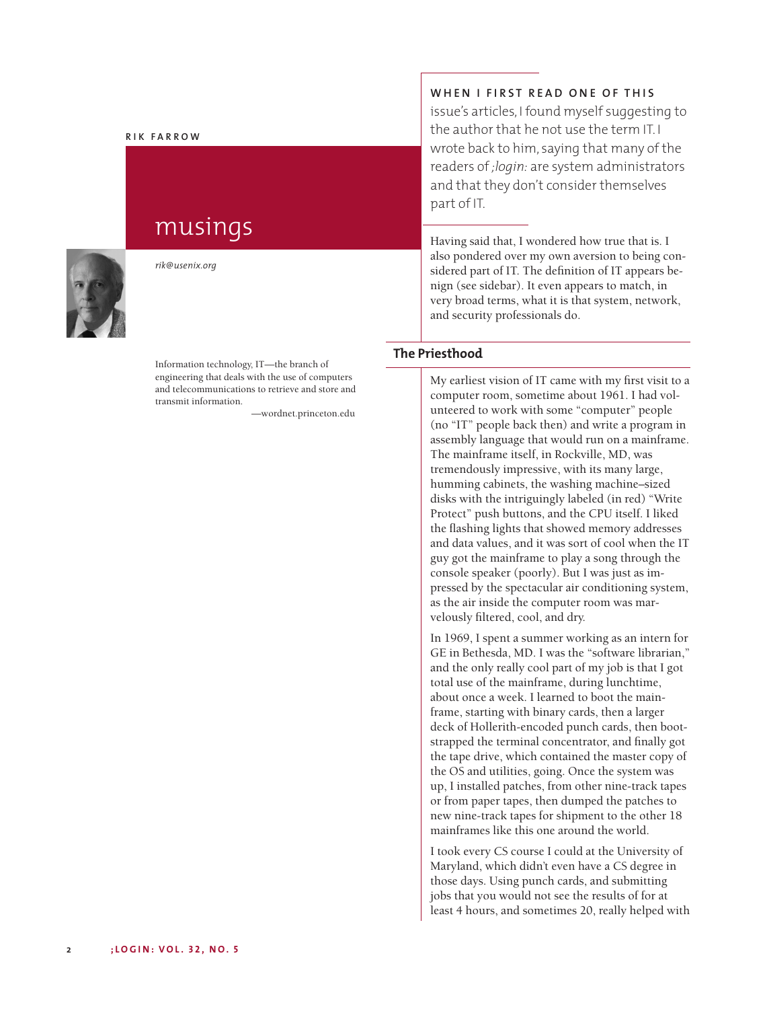#### **R I K F A R R O W**

# musings



*rik@usenix.org*

Information technology, IT—the branch of engineering that deals with the use of computers and telecommunications to retrieve and store and transmit information.

—wordnet.princeton.edu

## **W H E N I F I R S T R E A D O N E O F TH I S**

issue's articles, I found myself suggesting to the author that he not use the term IT. I wrote back to him, saying that many of the readers of *;login:* are system administrators and that they don't consider themselves part of IT.

Having said that, I wondered how true that is. I also pondered over my own aversion to being considered part of IT. The definition of IT appears benign (see sidebar). It even appears to match, in very broad terms, what it is that system, network, and security professionals do.

### **The Priesthood**

My earliest vision of IT came with my first visit to a computer room, sometime about 1961. I had volunteered to work with some "computer" people (no "IT" people back then) and write a program in assembly language that would run on a mainframe. The mainframe itself, in Rockville, MD, was tremendously impressive, with its many large, humming cabinets, the washing machine–sized disks with the intriguingly labeled (in red) "Write Protect" push buttons, and the CPU itself. I liked the flashing lights that showed memory addresses and data values, and it was sort of cool when the IT guy got the mainframe to play a song through the console speaker (poorly). But I was just as impressed by the spectacular air conditioning system, as the air inside the computer room was marvelously filtered, cool, and dry.

In 1969, I spent a summer working as an intern for GE in Bethesda, MD. I was the "software librarian," and the only really cool part of my job is that I got total use of the mainframe, during lunchtime, about once a week. I learned to boot the mainframe, starting with binary cards, then a larger deck of Hollerith-encoded punch cards, then bootstrapped the terminal concentrator, and finally got the tape drive, which contained the master copy of the OS and utilities, going. Once the system was up, I installed patches, from other nine-track tapes or from paper tapes, then dumped the patches to new nine-track tapes for shipment to the other 18 mainframes like this one around the world.

I took every CS course I could at the University of Maryland, which didn't even have a CS degree in those days. Using punch cards, and submitting jobs that you would not see the results of for at least 4 hours, and sometimes 20, really helped with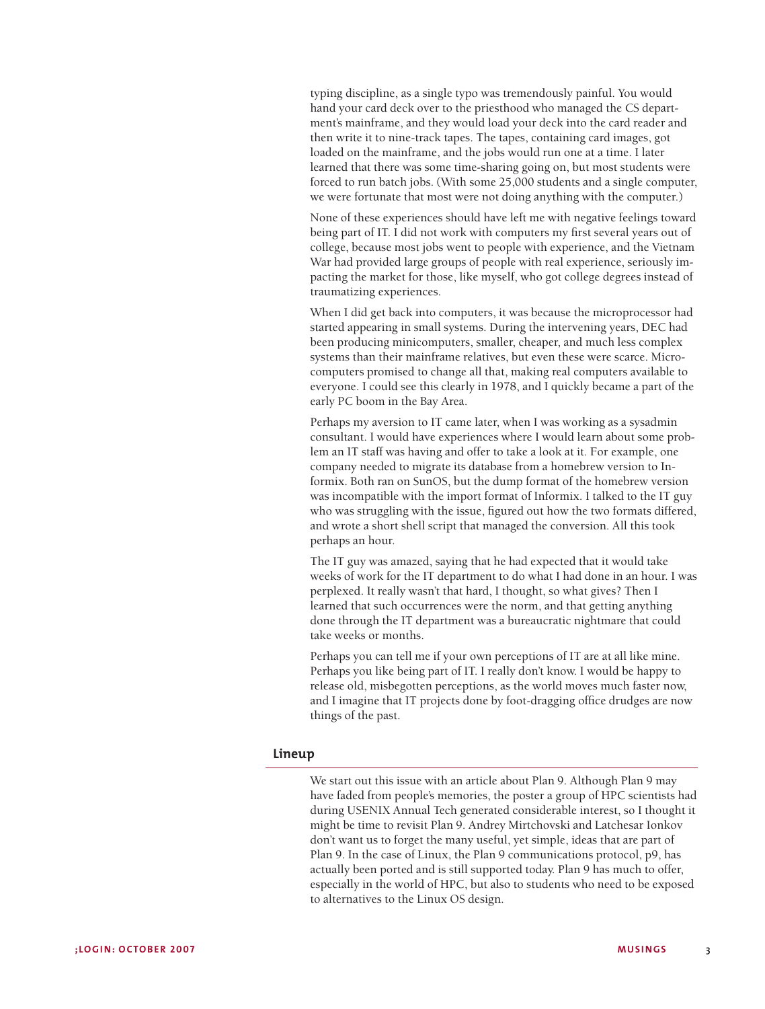typing discipline, as a single typo was tremendously painful. You would hand your card deck over to the priesthood who managed the CS department's mainframe, and they would load your deck into the card reader and then write it to nine-track tapes. The tapes, containing card images, got loaded on the mainframe, and the jobs would run one at a time. I later learned that there was some time-sharing going on, but most students were forced to run batch jobs.(With some 25,000 students and a single computer, we were fortunate that most were not doing anything with the computer.)

None of these experiences should have left me with negative feelings toward being part of IT. I did not work with computers my first several years out of college, because most jobs went to people with experience, and the Vietnam War had provided large groups of people with real experience, seriously impacting the market for those, like myself, who got college degrees instead of traumatizing experiences.

When I did get back into computers, it was because the microprocessor had started appearing in small systems. During the intervening years, DEC had been producing minicomputers, smaller, cheaper, and much less complex systems than their mainframe relatives, but even these were scarce. Microcomputers promised to change all that, making real computers available to everyone. I could see this clearly in 1978, and I quickly became a part of the early PC boom in the Bay Area.

Perhaps my aversion to IT came later, when I was working as a sysadmin consultant. I would have experiences where I would learn about some problem an IT staff was having and offer to take a look at it. For example, one company needed to migrate its database from a homebrew version to Informix. Both ran on SunOS, but the dump format of the homebrew version was incompatible with the import format of Informix. I talked to the IT guy who was struggling with the issue, figured out how the two formats differed, and wrote a short shell script that managed the conversion. All this took perhaps an hour.

The IT guy was amazed, saying that he had expected that it would take weeks of work for the IT department to do what I had done in an hour. I was perplexed. It really wasn't that hard, I thought, so what gives? Then I learned that such occurrences were the norm, and that getting anything done through the IT department was a bureaucratic nightmare that could take weeks or months.

Perhaps you can tell me if your own perceptions of IT are at all like mine. Perhaps you like being part of IT. I really don't know. I would be happy to release old, misbegotten perceptions, as the world moves much faster now, and I imagine that IT projects done by foot-dragging office drudges are now things of the past.

#### **Lineup**

We start out this issue with an article about Plan 9. Although Plan 9 may have faded from people's memories, the poster a group of HPC scientists had during USENIX Annual Tech generated considerable interest, so I thought it might be time to revisit Plan 9. Andrey Mirtchovski and Latchesar Ionkov don't want us to forget the many useful, yet simple, ideas that are part of Plan 9. In the case of Linux, the Plan 9 communications protocol, p9, has actually been ported and is still supported today. Plan 9 has much to offer, especially in the world of HPC, but also to students who need to be exposed to alternatives to the Linux OS design.